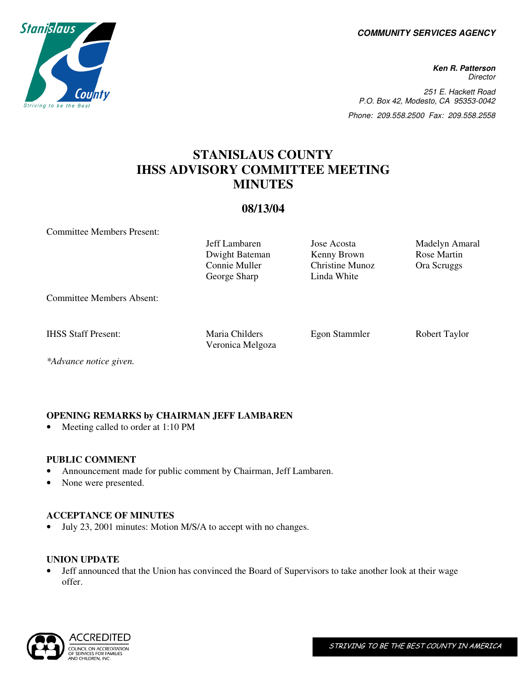**COMMUNITY SERVICES AGENCY** 

**Ken R. Patterson Director** 251 E. Hackett Road P.O. Box 42, Modesto, CA 95353-0042 Phone: 209.558.2500 Fax: 209.558.2558

# **STANISLAUS COUNTY IHSS ADVISORY COMMITTEE MEETING MINUTES**

### **08/13/04**

Committee Members Present:

Jeff Lambaren Jose Acosta Madelyn Amaral Dwight Bateman Kenny Brown Rose Martin Connie Muller Christine Munoz Ora Scruggs George Sharp Linda White

Committee Members Absent:

IHSS Staff Present: Maria Childers Egon Stammler Robert Taylor

Veronica Melgoza

*\*Advance notice given.* 

# **OPENING REMARKS by CHAIRMAN JEFF LAMBAREN**

• Meeting called to order at 1:10 PM

## **PUBLIC COMMENT**

- Announcement made for public comment by Chairman, Jeff Lambaren.
- None were presented.

# **ACCEPTANCE OF MINUTES**

• July 23, 2001 minutes: Motion M/S/A to accept with no changes.

## **UNION UPDATE**

• Jeff announced that the Union has convinced the Board of Supervisors to take another look at their wage offer.



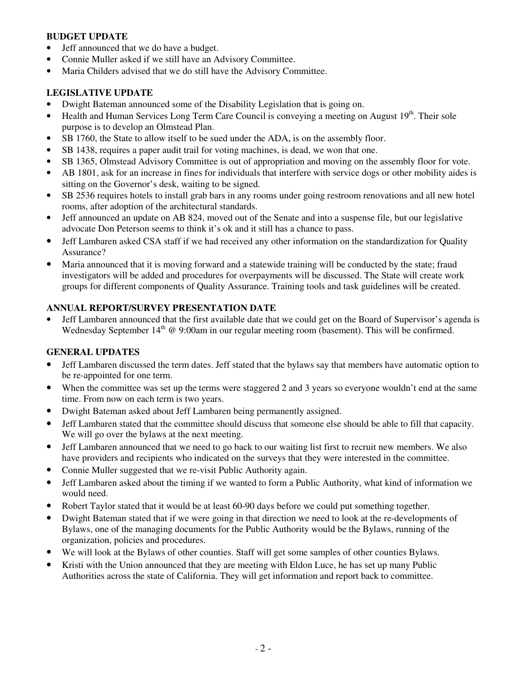#### **BUDGET UPDATE**

- Jeff announced that we do have a budget.
- Connie Muller asked if we still have an Advisory Committee.
- Maria Childers advised that we do still have the Advisory Committee.

#### **LEGISLATIVE UPDATE**

- Dwight Bateman announced some of the Disability Legislation that is going on.
- Health and Human Services Long Term Care Council is conveying a meeting on August 19<sup>th</sup>. Their sole purpose is to develop an Olmstead Plan.
- SB 1760, the State to allow itself to be sued under the ADA, is on the assembly floor.
- SB 1438, requires a paper audit trail for voting machines, is dead, we won that one.
- SB 1365, Olmstead Advisory Committee is out of appropriation and moving on the assembly floor for vote.
- AB 1801, ask for an increase in fines for individuals that interfere with service dogs or other mobility aides is sitting on the Governor's desk, waiting to be signed.
- SB 2536 requires hotels to install grab bars in any rooms under going restroom renovations and all new hotel rooms, after adoption of the architectural standards.
- Jeff announced an update on AB 824, moved out of the Senate and into a suspense file, but our legislative advocate Don Peterson seems to think it's ok and it still has a chance to pass.
- Jeff Lambaren asked CSA staff if we had received any other information on the standardization for Quality Assurance?
- Maria announced that it is moving forward and a statewide training will be conducted by the state; fraud investigators will be added and procedures for overpayments will be discussed. The State will create work groups for different components of Quality Assurance. Training tools and task guidelines will be created.

#### **ANNUAL REPORT/SURVEY PRESENTATION DATE**

• Jeff Lambaren announced that the first available date that we could get on the Board of Supervisor's agenda is Wednesday September  $14<sup>th</sup>$  @ 9:00am in our regular meeting room (basement). This will be confirmed.

#### **GENERAL UPDATES**

- Jeff Lambaren discussed the term dates. Jeff stated that the bylaws say that members have automatic option to be re-appointed for one term.
- When the committee was set up the terms were staggered 2 and 3 years so everyone wouldn't end at the same time. From now on each term is two years.
- Dwight Bateman asked about Jeff Lambaren being permanently assigned.
- Jeff Lambaren stated that the committee should discuss that someone else should be able to fill that capacity. We will go over the bylaws at the next meeting.
- Jeff Lambaren announced that we need to go back to our waiting list first to recruit new members. We also have providers and recipients who indicated on the surveys that they were interested in the committee.
- Connie Muller suggested that we re-visit Public Authority again.
- Jeff Lambaren asked about the timing if we wanted to form a Public Authority, what kind of information we would need.
- Robert Taylor stated that it would be at least 60-90 days before we could put something together.
- Dwight Bateman stated that if we were going in that direction we need to look at the re-developments of Bylaws, one of the managing documents for the Public Authority would be the Bylaws, running of the organization, policies and procedures.
- We will look at the Bylaws of other counties. Staff will get some samples of other counties Bylaws.
- Kristi with the Union announced that they are meeting with Eldon Luce, he has set up many Public Authorities across the state of California. They will get information and report back to committee.